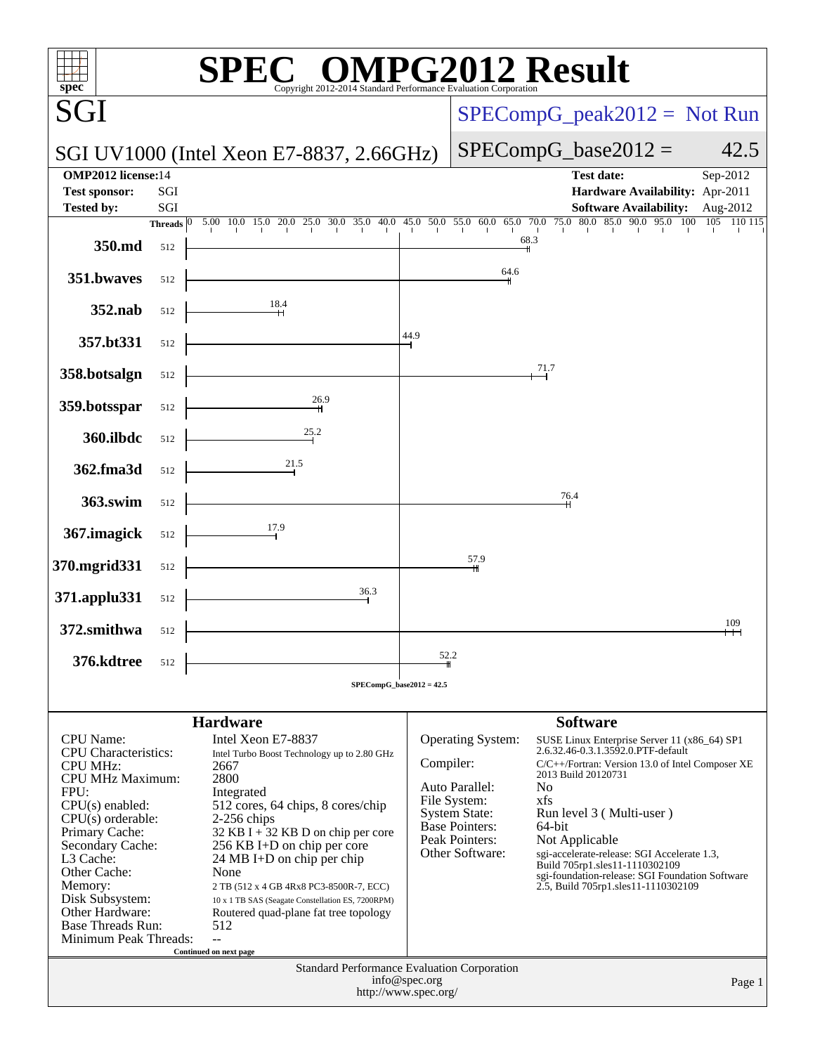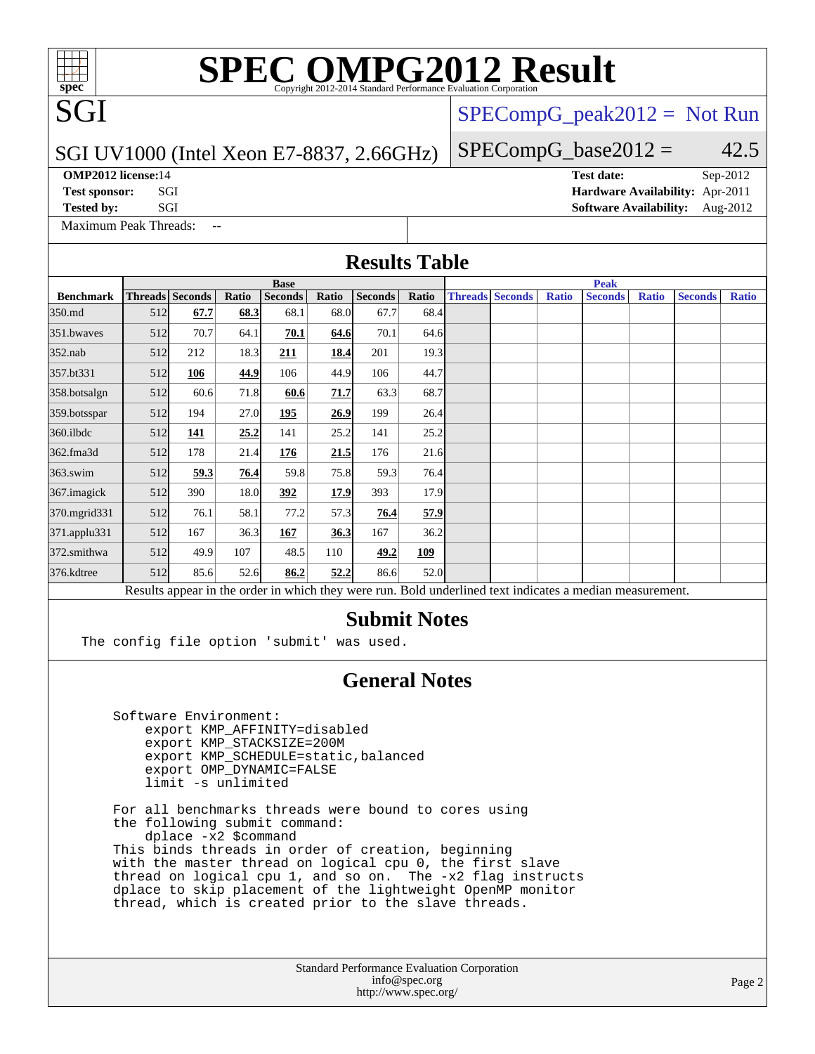# **[SPEC OMPG2012 Result](http://www.spec.org/auto/omp2012/Docs/result-fields.html#SPECOMPG2012Result)**

#### SGI UV1000 (Intel Xeon E7-8837, 2.66GHz)

**[OMP2012 license:](http://www.spec.org/auto/omp2012/Docs/result-fields.html#OMP2012license)**14 **[Test date:](http://www.spec.org/auto/omp2012/Docs/result-fields.html#Testdate)** Sep-2012

SGI

**[Test sponsor:](http://www.spec.org/auto/omp2012/Docs/result-fields.html#Testsponsor)** SGI **[Hardware Availability:](http://www.spec.org/auto/omp2012/Docs/result-fields.html#HardwareAvailability)** Apr-2011

 $SPECompG_peak2012 = Not Run$  $SPECompG_peak2012 = Not Run$ 

 $SPECompG_base2012 = 42.5$  $SPECompG_base2012 = 42.5$ 

[Maximum Peak Threads:](http://www.spec.org/auto/omp2012/Docs/result-fields.html#MaximumPeakThreads)

**[Tested by:](http://www.spec.org/auto/omp2012/Docs/result-fields.html#Testedby)** SGI [Software Availability:](http://www.spec.org/auto/omp2012/Docs/result-fields.html#SoftwareAvailability) Aug-2012

| <b>Base</b> |      |                                                                                              |                |                                                                                                                                     |                                                       |                                                                                                                                      | <b>Peak</b>                                                                               |                                                                                                                                                                     |                        |                                                      |              |                |                                                                                                          |
|-------------|------|----------------------------------------------------------------------------------------------|----------------|-------------------------------------------------------------------------------------------------------------------------------------|-------------------------------------------------------|--------------------------------------------------------------------------------------------------------------------------------------|-------------------------------------------------------------------------------------------|---------------------------------------------------------------------------------------------------------------------------------------------------------------------|------------------------|------------------------------------------------------|--------------|----------------|----------------------------------------------------------------------------------------------------------|
|             |      | Ratio                                                                                        | <b>Seconds</b> | Ratio                                                                                                                               | <b>Seconds</b>                                        | Ratio                                                                                                                                |                                                                                           |                                                                                                                                                                     | Ratio                  | <b>Seconds</b>                                       | <b>Ratio</b> | <b>Seconds</b> | <b>Ratio</b>                                                                                             |
|             | 67.7 |                                                                                              | 68.1           |                                                                                                                                     | 67.7                                                  |                                                                                                                                      |                                                                                           |                                                                                                                                                                     |                        |                                                      |              |                |                                                                                                          |
|             | 70.7 |                                                                                              | 70.1           |                                                                                                                                     | 70.1                                                  |                                                                                                                                      |                                                                                           |                                                                                                                                                                     |                        |                                                      |              |                |                                                                                                          |
|             | 212  |                                                                                              | 211            |                                                                                                                                     | 201                                                   |                                                                                                                                      |                                                                                           |                                                                                                                                                                     |                        |                                                      |              |                |                                                                                                          |
| 512         | 106  |                                                                                              | 106            |                                                                                                                                     | 106                                                   |                                                                                                                                      |                                                                                           |                                                                                                                                                                     |                        |                                                      |              |                |                                                                                                          |
|             | 60.6 |                                                                                              | 60.6           |                                                                                                                                     | 63.3                                                  |                                                                                                                                      |                                                                                           |                                                                                                                                                                     |                        |                                                      |              |                |                                                                                                          |
|             | 194  |                                                                                              | 195            |                                                                                                                                     | 199                                                   |                                                                                                                                      |                                                                                           |                                                                                                                                                                     |                        |                                                      |              |                |                                                                                                          |
| 512         | 141  |                                                                                              | 141            |                                                                                                                                     | 141                                                   |                                                                                                                                      |                                                                                           |                                                                                                                                                                     |                        |                                                      |              |                |                                                                                                          |
| 512         | 178  |                                                                                              | 176            |                                                                                                                                     | 176                                                   |                                                                                                                                      |                                                                                           |                                                                                                                                                                     |                        |                                                      |              |                |                                                                                                          |
|             | 59.3 |                                                                                              | 59.8           |                                                                                                                                     | 59.3                                                  |                                                                                                                                      |                                                                                           |                                                                                                                                                                     |                        |                                                      |              |                |                                                                                                          |
|             | 390  |                                                                                              | 392            |                                                                                                                                     | 393                                                   |                                                                                                                                      |                                                                                           |                                                                                                                                                                     |                        |                                                      |              |                |                                                                                                          |
| 512         | 76.1 | 58.1                                                                                         | 77.2           |                                                                                                                                     | 76.4                                                  |                                                                                                                                      |                                                                                           |                                                                                                                                                                     |                        |                                                      |              |                |                                                                                                          |
|             | 167  |                                                                                              | 167            |                                                                                                                                     | 167                                                   |                                                                                                                                      |                                                                                           |                                                                                                                                                                     |                        |                                                      |              |                |                                                                                                          |
|             | 49.9 | 107                                                                                          | 48.5           | 110                                                                                                                                 | 49.2                                                  | 109                                                                                                                                  |                                                                                           |                                                                                                                                                                     |                        |                                                      |              |                |                                                                                                          |
|             | 85.6 |                                                                                              | 86.2           |                                                                                                                                     | 86.6                                                  |                                                                                                                                      |                                                                                           |                                                                                                                                                                     |                        |                                                      |              |                |                                                                                                          |
|             |      |                                                                                              |                |                                                                                                                                     |                                                       |                                                                                                                                      |                                                                                           |                                                                                                                                                                     |                        |                                                      |              |                |                                                                                                          |
|             |      |                                                                                              |                |                                                                                                                                     |                                                       |                                                                                                                                      |                                                                                           |                                                                                                                                                                     |                        |                                                      |              |                |                                                                                                          |
|             |      |                                                                                              |                |                                                                                                                                     |                                                       |                                                                                                                                      |                                                                                           |                                                                                                                                                                     |                        |                                                      |              |                |                                                                                                          |
|             |      |                                                                                              |                |                                                                                                                                     |                                                       |                                                                                                                                      |                                                                                           |                                                                                                                                                                     |                        |                                                      |              |                |                                                                                                          |
|             |      | <b>Threads</b> Seconds<br>512<br>512<br>512<br>512<br>512<br>512<br>512<br>512<br>512<br>512 | 76.4           | 68.3<br>64.1<br>18.3<br>44.9<br>71.8<br>27.0<br>25.2<br>21.4<br>18.0<br>36.3<br>52.6<br>Software Environment:<br>limit -s unlimited | export KMP_STACKSIZE=200M<br>export OMP DYNAMIC=FALSE | 68.0<br>64.6<br>18.4<br>44.9<br>71.7<br>26.9<br>25.2<br>21.5<br>75.8<br>17.9<br>57.3<br>36.3<br>52.2<br>export KMP AFFINITY=disabled | 68.4<br>The config file option 'submit' was used.<br>export KMP_SCHEDULE=static, balanced | <b>Results Table</b><br>64.6<br>19.3<br>44.7<br>68.7<br>26.4<br>25.2<br>21.6<br>76.4<br>17.9<br>57.9<br>36.2<br>52.0<br><b>Submit Notes</b><br><b>General Notes</b> | <b>Threads Seconds</b> | For all benchmarks threads were bound to cores using |              |                | Results appear in the order in which they were run. Bold underlined text indicates a median measurement. |

 the following submit command: dplace -x2 \$command This binds threads in order of creation, beginning with the master thread on logical cpu 0, the first slave thread on logical cpu 1, and so on. The -x2 flag instructs dplace to skip placement of the lightweight OpenMP monitor thread, which is created prior to the slave threads.

> Standard Performance Evaluation Corporation [info@spec.org](mailto:info@spec.org) <http://www.spec.org/>